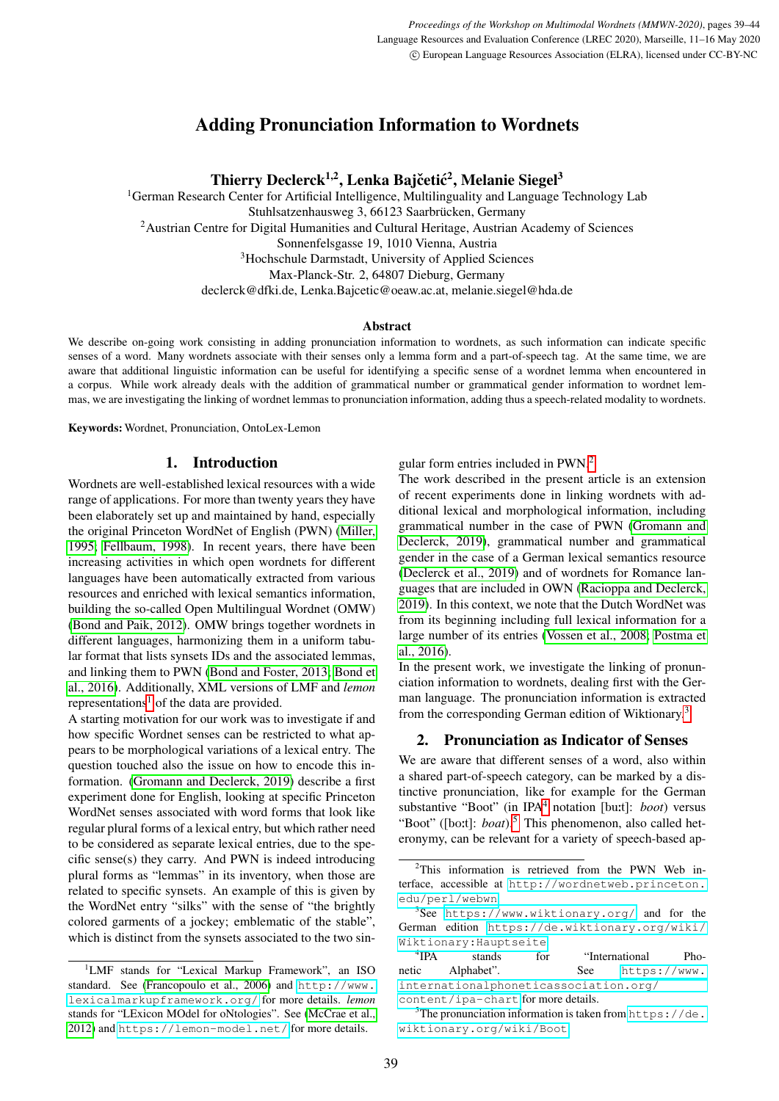# Adding Pronunciation Information to Wordnets

Thierry Declerck<sup>1,2</sup>, Lenka Bajčetić<sup>2</sup>, Melanie Siegel<sup>3</sup>

<sup>1</sup>German Research Center for Artificial Intelligence, Multilinguality and Language Technology Lab Stuhlsatzenhausweg 3, 66123 Saarbrücken, Germany <sup>2</sup> Austrian Centre for Digital Humanities and Cultural Heritage, Austrian Academy of Sciences Sonnenfelsgasse 19, 1010 Vienna, Austria <sup>3</sup>Hochschule Darmstadt, University of Applied Sciences Max-Planck-Str. 2, 64807 Dieburg, Germany declerck@dfki.de, Lenka.Bajcetic@oeaw.ac.at, melanie.siegel@hda.de

### Abstract

We describe on-going work consisting in adding pronunciation information to wordnets, as such information can indicate specific senses of a word. Many wordnets associate with their senses only a lemma form and a part-of-speech tag. At the same time, we are aware that additional linguistic information can be useful for identifying a specific sense of a wordnet lemma when encountered in a corpus. While work already deals with the addition of grammatical number or grammatical gender information to wordnet lemmas, we are investigating the linking of wordnet lemmas to pronunciation information, adding thus a speech-related modality to wordnets.

Keywords: Wordnet, Pronunciation, OntoLex-Lemon

### 1. Introduction

Wordnets are well-established lexical resources with a wide range of applications. For more than twenty years they have been elaborately set up and maintained by hand, especially the original Princeton WordNet of English (PWN) [\(Miller,](#page-5-0) [1995;](#page-5-0) [Fellbaum, 1998\)](#page-4-0). In recent years, there have been increasing activities in which open wordnets for different languages have been automatically extracted from various resources and enriched with lexical semantics information, building the so-called Open Multilingual Wordnet (OMW) [\(Bond and Paik, 2012\)](#page-4-1). OMW brings together wordnets in different languages, harmonizing them in a uniform tabular format that lists synsets IDs and the associated lemmas, and linking them to PWN [\(Bond and Foster, 2013;](#page-4-2) [Bond et](#page-4-3) [al., 2016\)](#page-4-3). Additionally, XML versions of LMF and *lemon* representations<sup>[1](#page-0-0)</sup> of the data are provided.

A starting motivation for our work was to investigate if and how specific Wordnet senses can be restricted to what appears to be morphological variations of a lexical entry. The question touched also the issue on how to encode this information. [\(Gromann and Declerck, 2019\)](#page-4-4) describe a first experiment done for English, looking at specific Princeton WordNet senses associated with word forms that look like regular plural forms of a lexical entry, but which rather need to be considered as separate lexical entries, due to the specific sense(s) they carry. And PWN is indeed introducing plural forms as "lemmas" in its inventory, when those are related to specific synsets. An example of this is given by the WordNet entry "silks" with the sense of "the brightly colored garments of a jockey; emblematic of the stable", which is distinct from the synsets associated to the two singular form entries included in PWN.[2](#page-0-1)

The work described in the present article is an extension of recent experiments done in linking wordnets with additional lexical and morphological information, including grammatical number in the case of PWN [\(Gromann and](#page-4-4) [Declerck, 2019\)](#page-4-4), grammatical number and grammatical gender in the case of a German lexical semantics resource [\(Declerck et al., 2019\)](#page-4-7) and of wordnets for Romance languages that are included in OWN [\(Racioppa and Declerck,](#page-5-1) [2019\)](#page-5-1). In this context, we note that the Dutch WordNet was from its beginning including full lexical information for a large number of its entries [\(Vossen et al., 2008;](#page-5-2) [Postma et](#page-5-3) [al., 2016\)](#page-5-3).

In the present work, we investigate the linking of pronunciation information to wordnets, dealing first with the German language. The pronunciation information is extracted from the corresponding German edition of Wiktionary.[3](#page-0-2)

### 2. Pronunciation as Indicator of Senses

We are aware that different senses of a word, also within a shared part-of-speech category, can be marked by a distinctive pronunciation, like for example for the German substantive "Boot" (in IPA<sup>[4](#page-0-3)</sup> notation [bu:t]: *boot*) versus "Boot" ([boːt]: *boat*).<sup>[5](#page-0-4)</sup> This phenomenon, also called heteronymy, can be relevant for a variety of speech-based ap-

<span id="page-0-0"></span><sup>1</sup>LMF stands for "Lexical Markup Framework", an ISO standard. See [\(Francopoulo et al., 2006\)](#page-4-5) and [http://www.](http://www.lexicalmarkupframework.org/) [lexicalmarkupframework.org/](http://www.lexicalmarkupframework.org/) for more details. *lemon* stands for "LExicon MOdel for oNtologies". See [\(McCrae et al.,](#page-4-6) [2012\)](#page-4-6) and <https://lemon-model.net/> for more details.

<span id="page-0-1"></span><sup>&</sup>lt;sup>2</sup>This information is retrieved from the PWN Web interface, accessible at [http://wordnetweb.princeton.](http://wordnetweb.princeton.edu/perl/webwn) [edu/perl/webwn](http://wordnetweb.princeton.edu/perl/webwn).

<span id="page-0-2"></span><sup>3</sup> See <https://www.wiktionary.org/> and for the German edition [https://de.wiktionary.org/wiki/](https://de.wiktionary.org/wiki/Wiktionary:Hauptseite) [Wiktionary:Hauptseite](https://de.wiktionary.org/wiki/Wiktionary:Hauptseite).

<span id="page-0-3"></span> $4$ IPA stands for "International Phonetic Alphabet". See [https://www.](https://www.internationalphoneticassociation.org/content/ipa-chart) [internationalphoneticassociation.org/](https://www.internationalphoneticassociation.org/content/ipa-chart) [content/ipa-chart](https://www.internationalphoneticassociation.org/content/ipa-chart) for more details.

<span id="page-0-4"></span> $5$ The pronunciation information is taken from [https://de.](https://de.wiktionary.org/wiki/Boot) [wiktionary.org/wiki/Boot](https://de.wiktionary.org/wiki/Boot).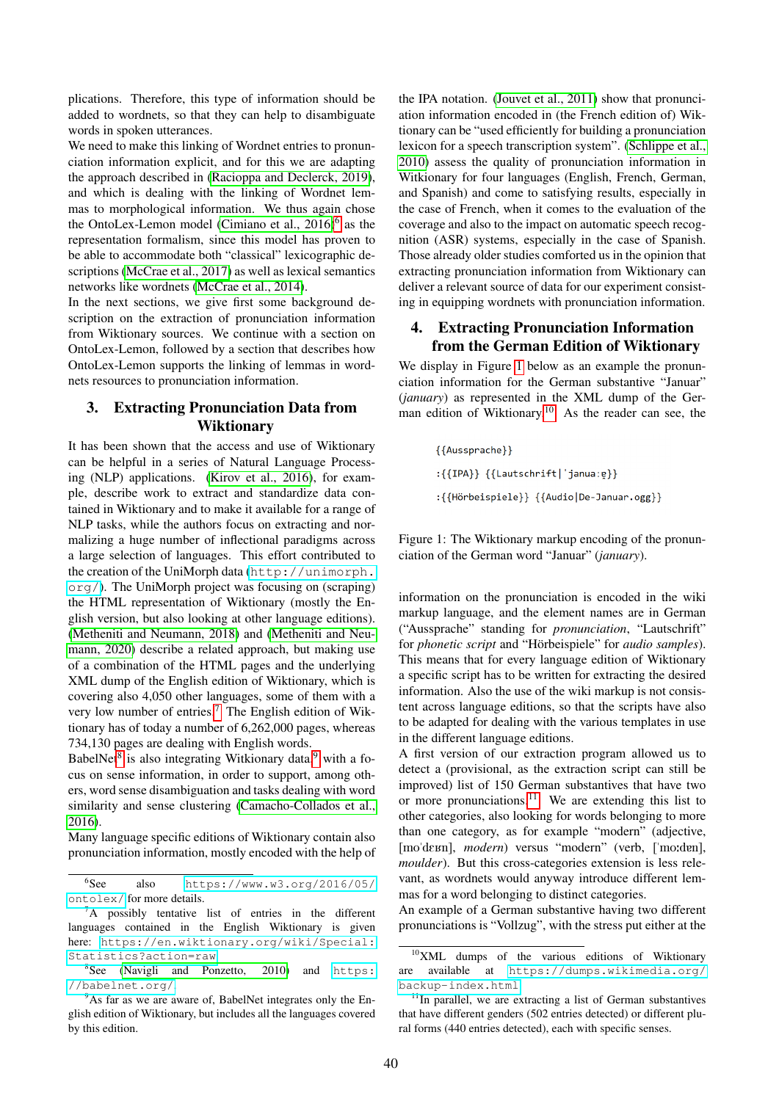plications. Therefore, this type of information should be added to wordnets, so that they can help to disambiguate words in spoken utterances.

We need to make this linking of Wordnet entries to pronunciation information explicit, and for this we are adapting the approach described in [\(Racioppa and Declerck, 2019\)](#page-5-1), and which is dealing with the linking of Wordnet lemmas to morphological information. We thus again chose the OntoLex-Lemon model [\(Cimiano et al., 2016\)](#page-4-8)<sup>[6](#page-1-0)</sup> as the representation formalism, since this model has proven to be able to accommodate both "classical" lexicographic descriptions [\(McCrae et al., 2017\)](#page-4-9) as well as lexical semantics networks like wordnets [\(McCrae et al., 2014\)](#page-4-10).

In the next sections, we give first some background description on the extraction of pronunciation information from Wiktionary sources. We continue with a section on OntoLex-Lemon, followed by a section that describes how OntoLex-Lemon supports the linking of lemmas in wordnets resources to pronunciation information.

## 3. Extracting Pronunciation Data from Wiktionary

It has been shown that the access and use of Wiktionary can be helpful in a series of Natural Language Processing (NLP) applications. [\(Kirov et al., 2016\)](#page-4-11), for example, describe work to extract and standardize data contained in Wiktionary and to make it available for a range of NLP tasks, while the authors focus on extracting and normalizing a huge number of inflectional paradigms across a large selection of languages. This effort contributed to the creation of the UniMorph data ([http://unimorph.](http://unimorph.org/) [org/](http://unimorph.org/)). The UniMorph project was focusing on (scraping) the HTML representation of Wiktionary (mostly the English version, but also looking at other language editions). [\(Metheniti and Neumann, 2018\)](#page-4-12) and [\(Metheniti and Neu](#page-5-4)[mann, 2020\)](#page-5-4) describe a related approach, but making use of a combination of the HTML pages and the underlying XML dump of the English edition of Wiktionary, which is covering also 4,050 other languages, some of them with a very low number of entries.[7](#page-1-1) The English edition of Wiktionary has of today a number of 6,262,000 pages, whereas 734,130 pages are dealing with English words.

BabelNet<sup>[8](#page-1-2)</sup> is also integrating Witkionary data,<sup>[9](#page-1-3)</sup> with a focus on sense information, in order to support, among others, word sense disambiguation and tasks dealing with word similarity and sense clustering [\(Camacho-Collados et al.,](#page-4-13) [2016\)](#page-4-13).

Many language specific editions of Wiktionary contain also pronunciation information, mostly encoded with the help of the IPA notation. [\(Jouvet et al., 2011\)](#page-4-14) show that pronunciation information encoded in (the French edition of) Wiktionary can be "used efficiently for building a pronunciation lexicon for a speech transcription system". [\(Schlippe et al.,](#page-5-6) [2010\)](#page-5-6) assess the quality of pronunciation information in Witkionary for four languages (English, French, German, and Spanish) and come to satisfying results, especially in the case of French, when it comes to the evaluation of the coverage and also to the impact on automatic speech recognition (ASR) systems, especially in the case of Spanish. Those already older studies comforted us in the opinion that extracting pronunciation information from Wiktionary can deliver a relevant source of data for our experiment consisting in equipping wordnets with pronunciation information.

## 4. Extracting Pronunciation Information from the German Edition of Wiktionary

We display in Figure [1](#page-1-4) below as an example the pronunciation information for the German substantive "Januar" (*january*) as represented in the XML dump of the German edition of Wiktionary.[10](#page-1-5) As the reader can see, the

> ${Aussprache}$ :{{IPA}} {{Lautschrift|'janua:e}} :{{Hörbeispiele}} {{Audio|De-Januar.ogg}}

<span id="page-1-4"></span>Figure 1: The Wiktionary markup encoding of the pronunciation of the German word "Januar" (*january*).

information on the pronunciation is encoded in the wiki markup language, and the element names are in German ("Aussprache" standing for *pronunciation*, "Lautschrift" for *phonetic script* and "Hörbeispiele" for *audio samples*). This means that for every language edition of Wiktionary a specific script has to be written for extracting the desired information. Also the use of the wiki markup is not consistent across language editions, so that the scripts have also to be adapted for dealing with the various templates in use in the different language editions.

A first version of our extraction program allowed us to detect a (provisional, as the extraction script can still be improved) list of 150 German substantives that have two or more pronunciations.<sup>[11](#page-1-6)</sup> We are extending this list to other categories, also looking for words belonging to more than one category, as for example "modern" (adjective, [mo'de*xn*], *modern*) versus "modern" (verb, ['mo:den], *moulder*). But this cross-categories extension is less relevant, as wordnets would anyway introduce different lemmas for a word belonging to distinct categories.

An example of a German substantive having two different pronunciations is "Vollzug", with the stress put either at the

<span id="page-1-0"></span> ${}^{6}$ See also [https://www.w3.org/2016/05/](https://www.w3.org/2016/05/ontolex/) [ontolex/](https://www.w3.org/2016/05/ontolex/) for more details.

<span id="page-1-1"></span> ${}^{7}$ A possibly tentative list of entries in the different languages contained in the English Wiktionary is given here: [https://en.wiktionary.org/wiki/Special:](https://en.wiktionary.org/wiki/Special:Statistics?action=raw) [Statistics?action=raw](https://en.wiktionary.org/wiki/Special:Statistics?action=raw).

<span id="page-1-2"></span><sup>&</sup>lt;sup>8</sup>See [\(Navigli and Ponzetto, 2010\)](#page-5-5) and [https:](https://babelnet.org/) [//babelnet.org/](https://babelnet.org/).

<span id="page-1-3"></span> $9^9$ As far as we are aware of, BabelNet integrates only the English edition of Wiktionary, but includes all the languages covered by this edition.

<span id="page-1-5"></span><sup>&</sup>lt;sup>10</sup>XML dumps of the various editions of Wiktionary are available at [https://dumps.wikimedia.org/](https://dumps.wikimedia.org/backup-index.html) [backup-index.html](https://dumps.wikimedia.org/backup-index.html).

<span id="page-1-6"></span> $11$ In parallel, we are extracting a list of German substantives that have different genders (502 entries detected) or different plural forms (440 entries detected), each with specific senses.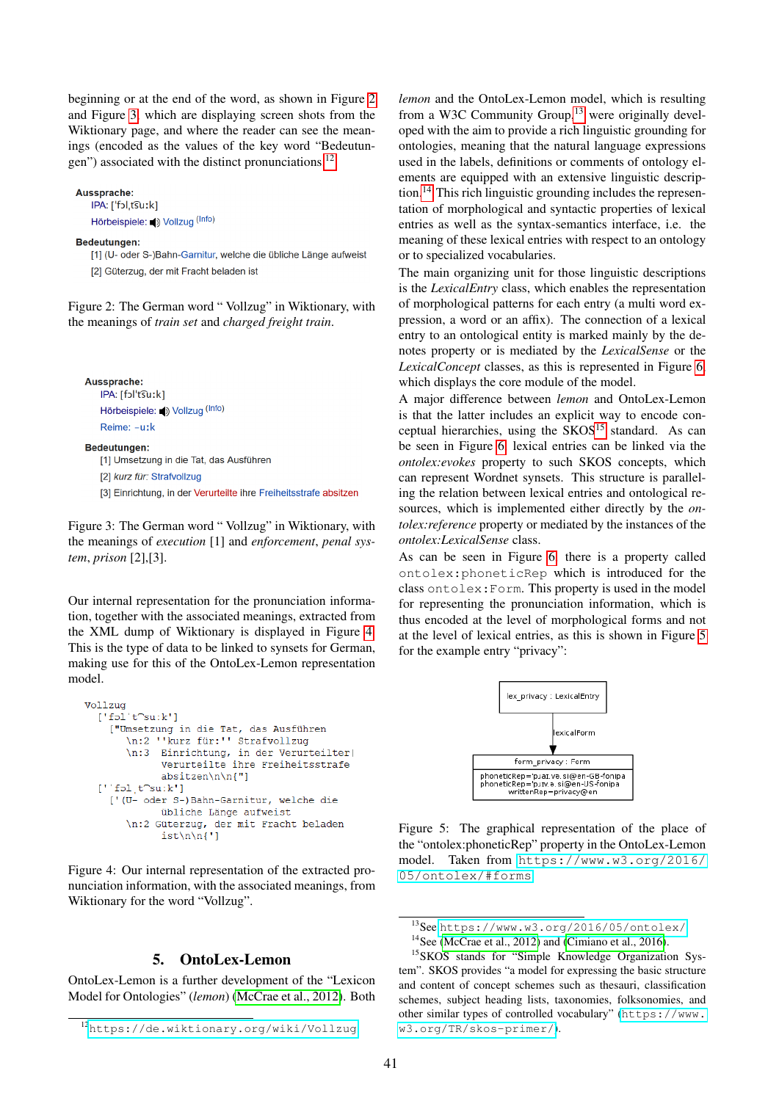beginning or at the end of the word, as shown in Figure [2](#page-2-0) and Figure [3,](#page-2-1) which are displaying screen shots from the Wiktionary page, and where the reader can see the meanings (encoded as the values of the key word "Bedeutungen") associated with the distinct pronunciations.[12](#page-2-2)

Aussprache: IPA: ['fɔl,t͡suːk] Hörbeispiele: (b) Vollzug (Info)

#### Bedeutungen:

[1] (U- oder S-)Bahn-Garnitur, welche die übliche Länge aufweist [2] Güterzug, der mit Fracht beladen ist

<span id="page-2-0"></span>Figure 2: The German word " Vollzug" in Wiktionary, with the meanings of *train set* and *charged freight train*.

Aussprache:

IPA: [fɔl't͡suːk] Hörbeispiele: (b) Vollzug (Info) Reime: -uːk

#### **Bedeutungen:**

[1] Umsetzung in die Tat, das Ausführen

[2] kurz für: Strafvollzug

<span id="page-2-1"></span>[3] Einrichtung, in der Verurteilte ihre Freiheitsstrafe absitzen

Figure 3: The German word " Vollzug" in Wiktionary, with the meanings of *execution* [1] and *enforcement*, *penal system*, *prison* [2],[3].

Our internal representation for the pronunciation information, together with the associated meanings, extracted from the XML dump of Wiktionary is displayed in Figure [4.](#page-2-3) This is the type of data to be linked to synsets for German, making use for this of the OntoLex-Lemon representation model.

```
Vollzug
  [!f01'tCsu:k!]["Umsetzung in die Tat, das Ausführen
       hasetzung in die fac, das Adsidn
       \n:3 Einrichtung, in der Verurteilter|
              Verurteilte ihre Freiheitsstrafe
              absitzen\n\n{"]
  [\, ' \, ' fol, t\capsu: k']
    ['(U- oder S-)Bahn-Garnitur, welche die
              übliche Länge aufweist
       \n:2 Güterzug, der mit Fracht beladen<br>ist\n\n{']
```
<span id="page-2-3"></span>Figure 4: Our internal representation of the extracted pronunciation information, with the associated meanings, from Wiktionary for the word "Vollzug".

### 5. OntoLex-Lemon

OntoLex-Lemon is a further development of the "Lexicon Model for Ontologies" (*lemon*) [\(McCrae et al., 2012\)](#page-4-6). Both *lemon* and the OntoLex-Lemon model, which is resulting from a W3C Community Group, $13$  were originally developed with the aim to provide a rich linguistic grounding for ontologies, meaning that the natural language expressions used in the labels, definitions or comments of ontology elements are equipped with an extensive linguistic description.[14](#page-2-5) This rich linguistic grounding includes the representation of morphological and syntactic properties of lexical entries as well as the syntax-semantics interface, i.e. the meaning of these lexical entries with respect to an ontology or to specialized vocabularies.

The main organizing unit for those linguistic descriptions is the *LexicalEntry* class, which enables the representation of morphological patterns for each entry (a multi word expression, a word or an affix). The connection of a lexical entry to an ontological entity is marked mainly by the denotes property or is mediated by the *LexicalSense* or the *LexicalConcept* classes, as this is represented in Figure [6,](#page-3-0) which displays the core module of the model.

A major difference between *lemon* and OntoLex-Lemon is that the latter includes an explicit way to encode con-ceptual hierarchies, using the SKOS<sup>[15](#page-2-6)</sup> standard. As can be seen in Figure [6,](#page-3-0) lexical entries can be linked via the *ontolex:evokes* property to such SKOS concepts, which can represent Wordnet synsets. This structure is paralleling the relation between lexical entries and ontological resources, which is implemented either directly by the *ontolex:reference* property or mediated by the instances of the *ontolex:LexicalSense* class.

As can be seen in Figure [6,](#page-3-0) there is a property called ontolex:phoneticRep which is introduced for the class ontolex:Form. This property is used in the model for representing the pronunciation information, which is thus encoded at the level of morphological forms and not at the level of lexical entries, as this is shown in Figure [5](#page-2-7) for the example entry "privacy":



<span id="page-2-7"></span>Figure 5: The graphical representation of the place of the "ontolex:phoneticRep" property in the OntoLex-Lemon model. Taken from [https://www.w3.org/2016/](https://www.w3.org/2016/05/ontolex/#forms) [05/ontolex/#forms](https://www.w3.org/2016/05/ontolex/#forms)

<span id="page-2-2"></span><sup>12</sup><https://de.wiktionary.org/wiki/Vollzug>.

<span id="page-2-4"></span><sup>13</sup>See <https://www.w3.org/2016/05/ontolex/>

<span id="page-2-6"></span><span id="page-2-5"></span><sup>&</sup>lt;sup>14</sup>See [\(McCrae et al., 2012\)](#page-4-6) and [\(Cimiano et al., 2016\)](#page-4-8).

<sup>15</sup>SKOS stands for "Simple Knowledge Organization System". SKOS provides "a model for expressing the basic structure and content of concept schemes such as thesauri, classification schemes, subject heading lists, taxonomies, folksonomies, and other similar types of controlled vocabulary" ([https://www.](https://www.w3.org/TR/skos-primer/) [w3.org/TR/skos-primer/](https://www.w3.org/TR/skos-primer/)).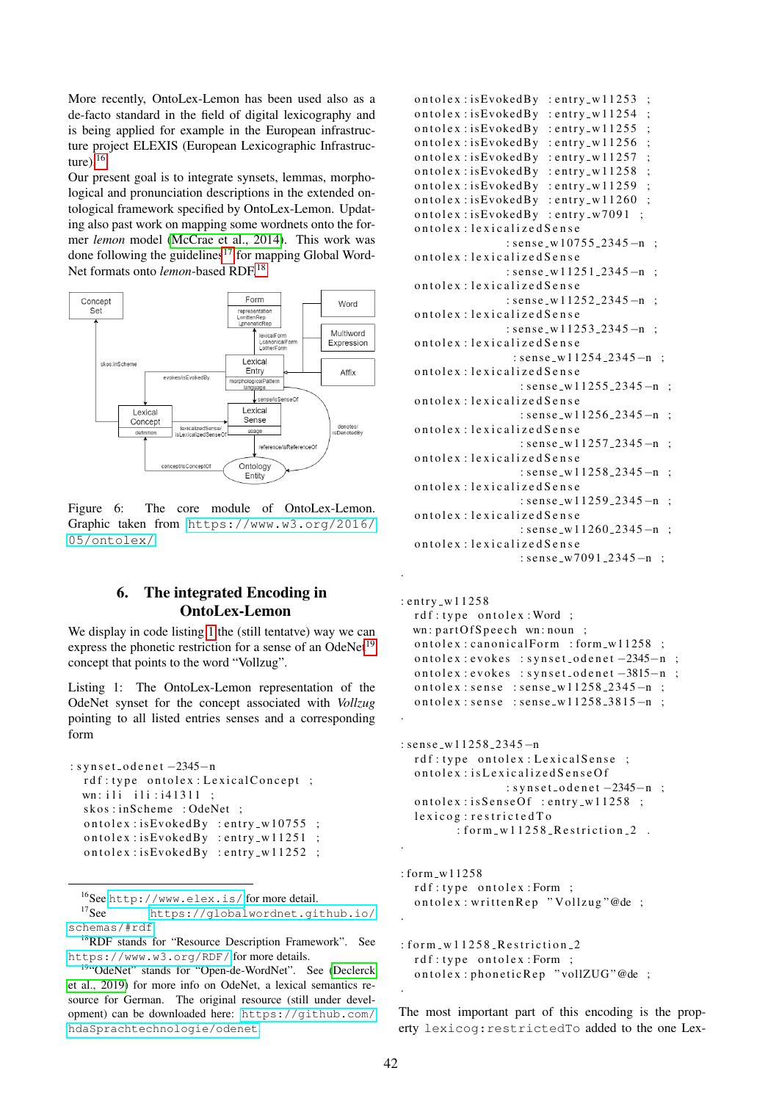More recently, OntoLex-Lemon has been used also as a de-facto standard in the field of digital lexicography and is being applied for example in the European infrastructure project ELEXIS (European Lexicographic Infrastructure). $16$ 

Our present goal is to integrate synsets, lemmas, morphological and pronunciation descriptions in the extended ontological framework specified by OntoLex-Lemon. Updating also past work on mapping some wordnets onto the former *lemon* model [\(McCrae et al., 2014\)](#page-4-10). This work was done following the guidelines $17$  for mapping Global Word-Net formats onto *lemon*-based RDF.<sup>[18](#page-3-3)</sup>



<span id="page-3-0"></span>Figure 6: The core module of OntoLex-Lemon. Graphic taken from [https://www.w3.org/2016/](https://www.w3.org/2016/05/ontolex/) [05/ontolex/](https://www.w3.org/2016/05/ontolex/).

## 6. The integrated Encoding in OntoLex-Lemon

We display in code listing [1](#page-3-4) the (still tentatve) way we can express the phonetic restriction for a sense of an OdeNet<sup>[19](#page-3-5)</sup> concept that points to the word "Vollzug".

<span id="page-3-4"></span>Listing 1: The OntoLex-Lemon representation of the OdeNet synset for the concept associated with *Vollzug* pointing to all listed entries senses and a corresponding form

```
: synset_odenet -2345-nrdf: type ontolex: Lexical Concept ;
 wn: ili ili: i41311 ;
 skos: inScheme: OdeNet ;
  ontolex: isEvokedBy: entry_w10755;
  ontolex: isEvokedBy: entry_w11251;
  ontolex: isEvokedBy: entry_w11252;
```
<span id="page-3-2"></span><span id="page-3-1"></span><sup>16</sup>See <http://www.elex.is/>formore detail.<br><sup>17</sup>See https://globalwordnet.gi

```
https://globalwordnet.github.io/
schemas/#rdf.
```

```
18RDF stands for "Resource Description Framework". See
https://www.w3.org/RDF/ for more details.
```

```
(Declerck
et al., 2019) for more info on OdeNet, a lexical semantics re-
source for German. The original resource (still under devel-
opment) can be downloaded here: https://github.com/
hdaSprachtechnologie/odenet.
```

```
ontolex: isEvokedBy: entry_w11253;
ontolex: isEvokedBy: entry_w11254;
ontolex: isEvokedBy: entry_w11255;
ontolex: isEvokedBy: entry_w11256;
ontolex: isEvokedBy: entry_w11257;
ontolex: isEvokedBy: entry_w11258 ;
ontolex: isEvokedBy: entry_w11259;
ontolex: isEvokedBy: entry_w11260;
ontolex: isEvokedBy: entry_w7091;
ontolex : lexicalized Sense
              : sense_w 10755_2345-n;
ontolex : lexicalized Sense
              : sense_w 11251_2345-n ;
ontolex : lexicalized Sense
              : sense_w11252_2345-n;
ontolex : lexicalized Sense
              : sense_w 11253_2345-n;
ontolex : lexicalized Sense
               : sense_w11254_2345-n;
onto lex : lexicalized Sense
                : sense_w 11255_2345-n ;
ontolex : lexicalized Sense
                : sense_w 11256_2345-n ;
ontolex : lexicalized Sense
                : sense_w 11257_2345−n :
ontolex : lexicalized Sense
                : sense_w11258_2345-n;
ontolex : lexicalized Sense
                : sense_w11259_2345-n ;
onto lex : lexicalized Sense
                : sense_w 11260_2345-n ;
ontolex : lexicalized Sense
                : sense_w7091_2345-n ;
```

```
: entry_w 11258
  rdf: type ontolex: Word ;
  wn: partOfSpeech wn: noun;
  ontolex: canonicalForm : form_w11258 ;
  ontolex : evokes : synset_odenet -2345-n;
  ontolex : evokes : synset_odenet -3815-n ;
  ontolex: sense : sense_w11258-2345-n;
  ontolex: sense : sense_w11258_3815-n;
.
```

```
: sense_w 11258_2345-n
  rdf: type ontolex: Lexical Sense ;
  ontolex: is Lexicalized Sense Of
                   : synset_odenet -2345-n;
  ontolex: is Sense Of : entry_w11258 ;
  l e x i c o g : r e s t r i c t e d T o
          : form \lfloor w \rfloor 1258 Restriction -2.
.
```
 $:$  form\_w11258 rdf: type ontolex: Form ; ontolex: writtenRep "Vollzug"@de ;

```
: form \lfloor w \rfloor 1258 \lfloor Restriction \lfloor 2rdf: type ontolex: Form ;
   ontolex: phoneticRep "vollZUG"@de ;
```
The most important part of this encoding is the property lexicog:restrictedTo added to the one Lex-

.

.

.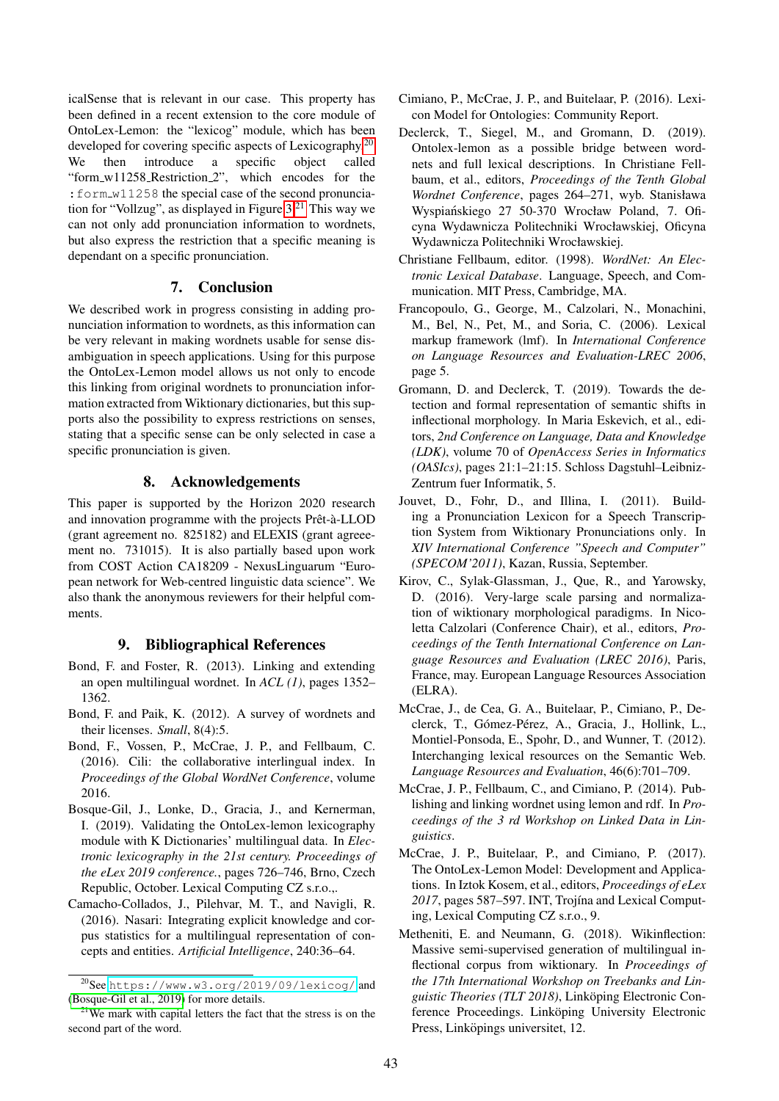icalSense that is relevant in our case. This property has been defined in a recent extension to the core module of OntoLex-Lemon: the "lexicog" module, which has been developed for covering specific aspects of Lexicography.<sup>[20](#page-4-15)</sup> We then introduce a specific object called "form\_w11258\_Restriction\_2", which encodes for the :form w11258 the special case of the second pronunciation for "Vollzug", as displayed in Figure  $3<sup>21</sup>$  $3<sup>21</sup>$  $3<sup>21</sup>$  This way we can not only add pronunciation information to wordnets, but also express the restriction that a specific meaning is dependant on a specific pronunciation.

### 7. Conclusion

We described work in progress consisting in adding pronunciation information to wordnets, as this information can be very relevant in making wordnets usable for sense disambiguation in speech applications. Using for this purpose the OntoLex-Lemon model allows us not only to encode this linking from original wordnets to pronunciation information extracted from Wiktionary dictionaries, but this supports also the possibility to express restrictions on senses, stating that a specific sense can be only selected in case a specific pronunciation is given.

### 8. Acknowledgements

This paper is supported by the Horizon 2020 research and innovation programme with the projects Prêt-à-LLOD (grant agreement no. 825182) and ELEXIS (grant agreeement no. 731015). It is also partially based upon work from COST Action CA18209 - NexusLinguarum "European network for Web-centred linguistic data science". We also thank the anonymous reviewers for their helpful comments.

### 9. Bibliographical References

- <span id="page-4-2"></span>Bond, F. and Foster, R. (2013). Linking and extending an open multilingual wordnet. In *ACL (1)*, pages 1352– 1362.
- <span id="page-4-1"></span>Bond, F. and Paik, K. (2012). A survey of wordnets and their licenses. *Small*, 8(4):5.
- <span id="page-4-3"></span>Bond, F., Vossen, P., McCrae, J. P., and Fellbaum, C. (2016). Cili: the collaborative interlingual index. In *Proceedings of the Global WordNet Conference*, volume 2016.
- <span id="page-4-17"></span>Bosque-Gil, J., Lonke, D., Gracia, J., and Kernerman, I. (2019). Validating the OntoLex-lemon lexicography module with K Dictionaries' multilingual data. In *Electronic lexicography in the 21st century. Proceedings of the eLex 2019 conference.*, pages 726–746, Brno, Czech Republic, October. Lexical Computing CZ s.r.o.,.
- <span id="page-4-13"></span>Camacho-Collados, J., Pilehvar, M. T., and Navigli, R. (2016). Nasari: Integrating explicit knowledge and corpus statistics for a multilingual representation of concepts and entities. *Artificial Intelligence*, 240:36–64.
- <span id="page-4-8"></span>Cimiano, P., McCrae, J. P., and Buitelaar, P. (2016). Lexicon Model for Ontologies: Community Report.
- <span id="page-4-7"></span>Declerck, T., Siegel, M., and Gromann, D. (2019). Ontolex-lemon as a possible bridge between wordnets and full lexical descriptions. In Christiane Fellbaum, et al., editors, *Proceedings of the Tenth Global Wordnet Conference*, pages 264–271, wyb. Stanisława Wyspiańskiego 27 50-370 Wrocław Poland, 7. Oficyna Wydawnicza Politechniki Wrocławskiej, Oficyna Wydawnicza Politechniki Wrocławskiej.
- <span id="page-4-0"></span>Christiane Fellbaum, editor. (1998). *WordNet: An Electronic Lexical Database*. Language, Speech, and Communication. MIT Press, Cambridge, MA.
- <span id="page-4-5"></span>Francopoulo, G., George, M., Calzolari, N., Monachini, M., Bel, N., Pet, M., and Soria, C. (2006). Lexical markup framework (lmf). In *International Conference on Language Resources and Evaluation-LREC 2006*, page 5.
- <span id="page-4-4"></span>Gromann, D. and Declerck, T. (2019). Towards the detection and formal representation of semantic shifts in inflectional morphology. In Maria Eskevich, et al., editors, *2nd Conference on Language, Data and Knowledge (LDK)*, volume 70 of *OpenAccess Series in Informatics (OASIcs)*, pages 21:1–21:15. Schloss Dagstuhl–Leibniz-Zentrum fuer Informatik, 5.
- <span id="page-4-14"></span>Jouvet, D., Fohr, D., and Illina, I. (2011). Building a Pronunciation Lexicon for a Speech Transcription System from Wiktionary Pronunciations only. In *XIV International Conference "Speech and Computer" (SPECOM'2011)*, Kazan, Russia, September.
- <span id="page-4-11"></span>Kirov, C., Sylak-Glassman, J., Que, R., and Yarowsky, D. (2016). Very-large scale parsing and normalization of wiktionary morphological paradigms. In Nicoletta Calzolari (Conference Chair), et al., editors, *Proceedings of the Tenth International Conference on Language Resources and Evaluation (LREC 2016)*, Paris, France, may. European Language Resources Association (ELRA).
- <span id="page-4-6"></span>McCrae, J., de Cea, G. A., Buitelaar, P., Cimiano, P., Declerck, T., Gómez-Pérez, A., Gracia, J., Hollink, L., Montiel-Ponsoda, E., Spohr, D., and Wunner, T. (2012). Interchanging lexical resources on the Semantic Web. *Language Resources and Evaluation*, 46(6):701–709.
- <span id="page-4-10"></span>McCrae, J. P., Fellbaum, C., and Cimiano, P. (2014). Publishing and linking wordnet using lemon and rdf. In *Proceedings of the 3 rd Workshop on Linked Data in Linguistics*.
- <span id="page-4-9"></span>McCrae, J. P., Buitelaar, P., and Cimiano, P. (2017). The OntoLex-Lemon Model: Development and Applications. In Iztok Kosem, et al., editors, *Proceedings of eLex* 2017, pages 587–597. INT, Trojína and Lexical Computing, Lexical Computing CZ s.r.o., 9.
- <span id="page-4-12"></span>Metheniti, E. and Neumann, G. (2018). Wikinflection: Massive semi-supervised generation of multilingual inflectional corpus from wiktionary. In *Proceedings of the 17th International Workshop on Treebanks and Linguistic Theories (TLT 2018)*, Linköping Electronic Conference Proceedings. Linköping University Electronic Press, Linköpings universitet, 12.

<span id="page-4-15"></span><sup>20</sup>See <https://www.w3.org/2019/09/lexicog/> and [\(Bosque-Gil et al., 2019\)](#page-4-17) for more details.

<span id="page-4-16"></span> $21$ We mark with capital letters the fact that the stress is on the second part of the word.